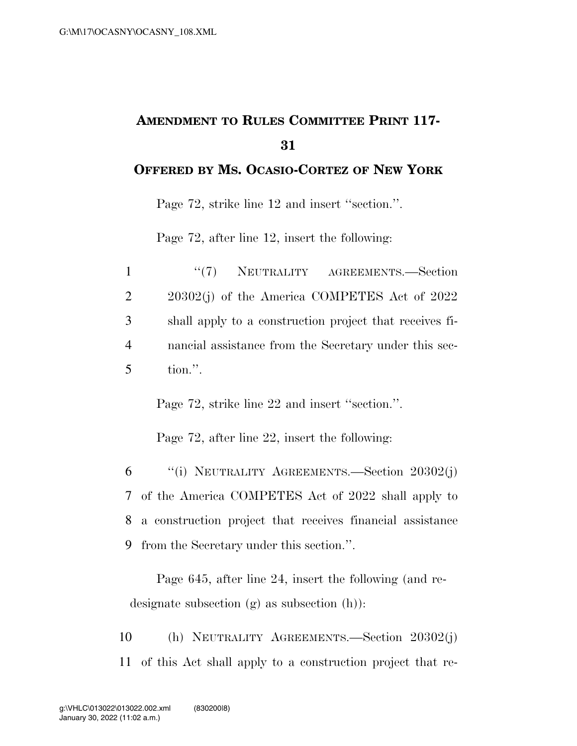## **AMENDMENT TO RULES COMMITTEE PRINT 117- 31**

## **OFFERED BY MS. OCASIO-CORTEZ OF NEW YORK**

Page 72, strike line 12 and insert ''section.''.

Page 72, after line 12, insert the following:

| $\mathbf{1}$   | "(7) NEUTRALITY AGREEMENTS.—Section                     |
|----------------|---------------------------------------------------------|
| 2              | $20302(j)$ of the America COMPETES Act of $2022$        |
| 3              | shall apply to a construction project that receives fi- |
| $\overline{4}$ | nancial assistance from the Secretary under this sec-   |
| 5 <sup>5</sup> | tion.".                                                 |

Page 72, strike line 22 and insert ''section.''.

Page 72, after line 22, insert the following:

 ''(i) NEUTRALITY AGREEMENTS.—Section 20302(j) of the America COMPETES Act of 2022 shall apply to a construction project that receives financial assistance from the Secretary under this section.''.

Page 645, after line 24, insert the following (and redesignate subsection (g) as subsection (h)):

10 (h) NEUTRALITY AGREEMENTS.—Section 20302(j) 11 of this Act shall apply to a construction project that re